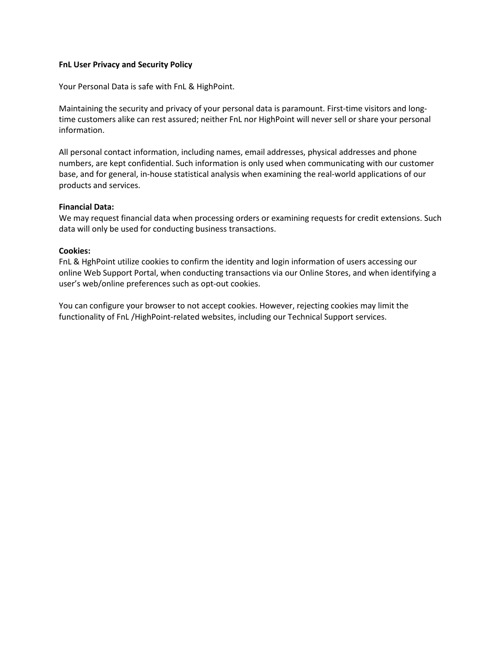# **FnL User Privacy and Security Policy**

Your Personal Data is safe with FnL & HighPoint.

Maintaining the security and privacy ofyour personal data is paramount. First-time visitors and long time customers alike can rest assured; neither FnL nor HighPoint will never sell or share your personal information.

All personal contact information, including names, email addresses, physical addresses and phone numbers, are kept confidential. Such information is only used when communicating with our customer base, and for general, in-house statistical analysis when examining the real-world applications of our products and services.

#### **Financial Data:**

We may request financial data when processing orders or examining requests for credit extensions. Such data will only be used for conducting business transactions.

# **Cookies:**

FnL & HghPoint utilize cookies to confirm the identity and login information of users accessing our online Web Support Portal, when conducting transactions via our Online Stores, and when identifying a user's web/online preferences such as opt-out cookies.

You can configure your browser to not accept cookies. However, rejecting cookies may limit the functionality of FnL /HighPoint-related websites, including our Technical Support services.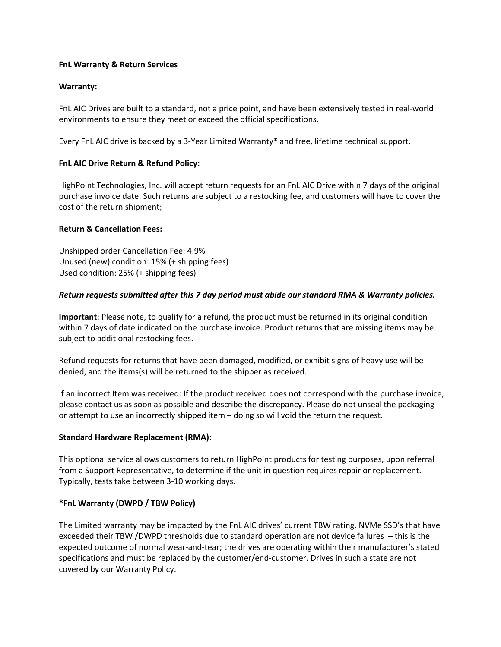# **FnL Warranty & Return Services**

# **Warranty:**

FnL AIC Drives are built to a standard, not a price point, and have been extensively tested in real-world environments to ensure they meet or exceed the official specifications.

Every FnL AIC drive is backed by a 3-Year Limited Warranty\* and free, lifetime technical support.

# **FnL AIC Drive Return & Refund Policy:**

HighPoint Technologies, Inc. will accept return requests for an FnL AIC Drive within 7 days of the original purchase invoice date. Such returns are subject to a restocking fee, and customers will have to cover the cost of the return shipment;

# **Return & Cancellation Fees:**

Unshipped order Cancellation Fee: 4.9% Unused (new) condition: 15% (+ shipping fees) Used condition: 25% (+ shipping fees)

# *Return requests submitted after this 7 day period must abide our standard RMA & Warranty policies.*

**Important**: Please note, to qualify for a refund, the product must be returned in its original condition within 7 days of date indicated on the purchase invoice. Product returns that are missing items may be subject to additional restocking fees.

Refund requests for returns that have been damaged, modified, or exhibit signs of heavy use will be denied, and the items(s) will be returned to the shipper as received.

If an incorrect Item was received: If the product received does not correspond with the purchase invoice, please contact us as soon as possible and describe the discrepancy. Please do not unseal the packaging or attempt to use an incorrectly shipped item – doing so will void the return the request.

#### **Standard Hardware Replacement (RMA):**

This optional service allows customers to return HighPoint products for testing purposes, upon referral from a Support Representative, to determine if the unit in question requires repair or replacement. Typically, tests take between 3-10 working days.

# **\*FnL Warranty (DWPD / TBW Policy)**

The Limited warranty may be impacted by the FnL AIC drives' current TBW rating. NVMe SSD's that have exceeded their TBW /DWPD thresholds due to standard operation are not device failures – this is the expected outcome of normal wear-and-tear; the drives are operating within their manufacturer's stated specifications and must be replaced by the customer/end-customer. Drives in such a state are not covered by our Warranty Policy.